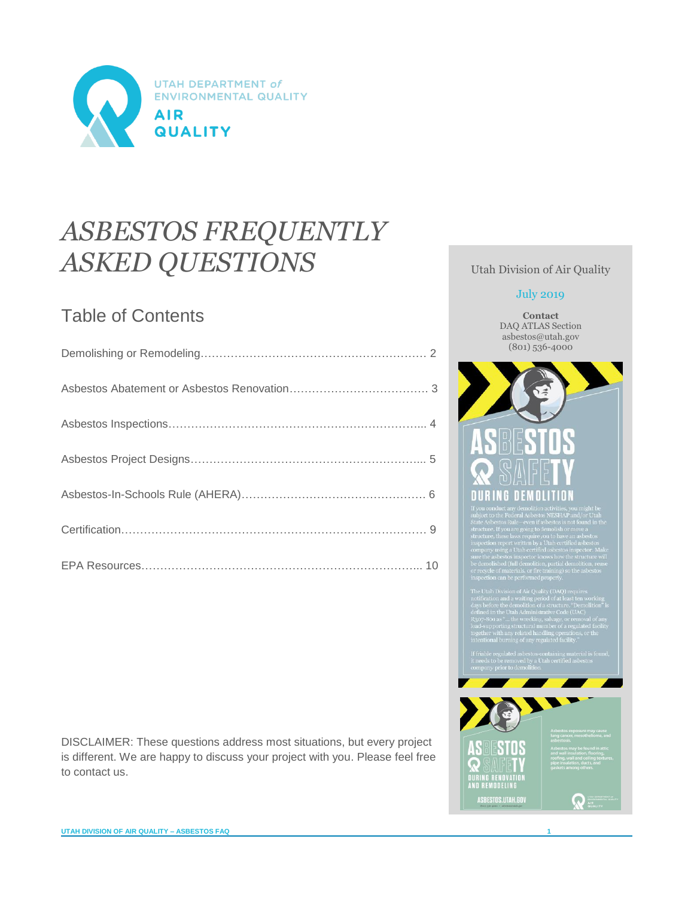

# *ASBESTOS FREQUENTLY ASKED QUESTIONS*

# Table of Contents

DISCLAIMER: These questions address most situations, but every project is different. We are happy to discuss your project with you. Please feel free to contact us.

Utah Division of Air Quality

#### July 2019

**Contact** DAQ ATLAS Section asbestos@utah.gov (801) 536-4000

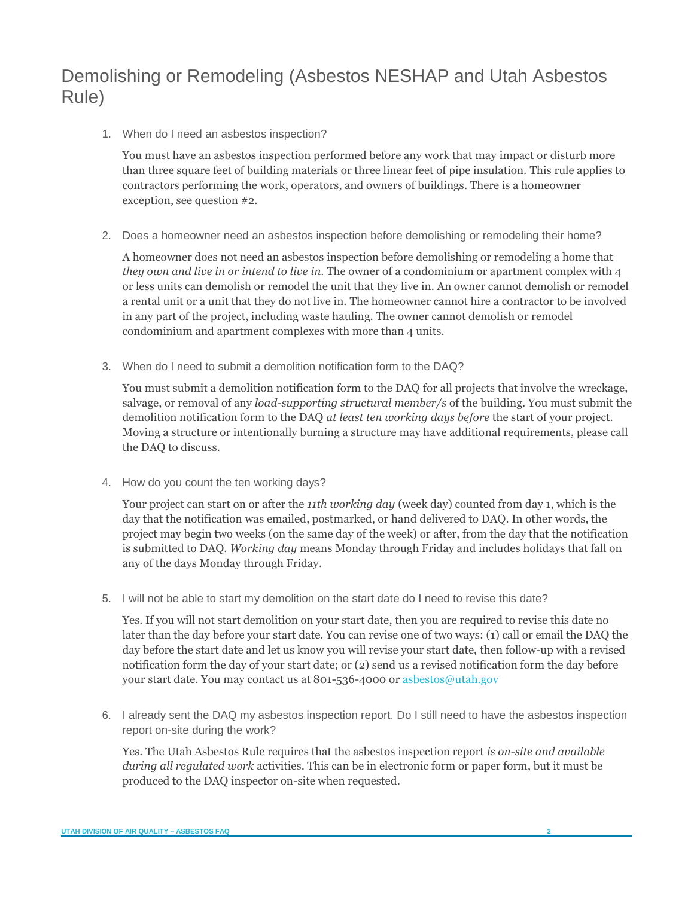# <span id="page-1-0"></span>Demolishing or Remodeling (Asbestos NESHAP and Utah Asbestos Rule)

1. When do I need an asbestos inspection?

You must have an asbestos inspection performed before any work that may impact or disturb more than three square feet of building materials or three linear feet of pipe insulation. This rule applies to contractors performing the work, operators, and owners of buildings. There is a homeowner exception, see question #2.

2. Does a homeowner need an asbestos inspection before demolishing or remodeling their home?

A homeowner does not need an asbestos inspection before demolishing or remodeling a home that *they own and live in or intend to live in*. The owner of a condominium or apartment complex with 4 or less units can demolish or remodel the unit that they live in. An owner cannot demolish or remodel a rental unit or a unit that they do not live in. The homeowner cannot hire a contractor to be involved in any part of the project, including waste hauling. The owner cannot demolish or remodel condominium and apartment complexes with more than 4 units.

3. When do I need to submit a demolition notification form to the DAQ?

You must submit a demolition notification form to the DAQ for all projects that involve the wreckage, salvage, or removal of any *load-supporting structural member/s* of the building. You must submit the demolition notification form to the DAQ *at least ten working days before* the start of your project. Moving a structure or intentionally burning a structure may have additional requirements, please call the DAQ to discuss.

4. How do you count the ten working days?

Your project can start on or after the *11th working day* (week day) counted from day 1, which is the day that the notification was emailed, postmarked, or hand delivered to DAQ. In other words, the project may begin two weeks (on the same day of the week) or after, from the day that the notification is submitted to DAQ. *Working day* means Monday through Friday and includes holidays that fall on any of the days Monday through Friday.

5. I will not be able to start my demolition on the start date do I need to revise this date?

Yes. If you will not start demolition on your start date, then you are required to revise this date no later than the day before your start date. You can revise one of two ways: (1) call or email the DAQ the day before the start date and let us know you will revise your start date, then follow-up with a revised notification form the day of your start date; or (2) send us a revised notification form the day before your start date. You may contact us at 801-536-4000 or [asbestos@utah.gov](mailto:asbestos@utah.gov)

6. I already sent the DAQ my asbestos inspection report. Do I still need to have the asbestos inspection report on-site during the work?

Yes. The Utah Asbestos Rule requires that the asbestos inspection report *is on-site and available during all regulated work* activities. This can be in electronic form or paper form, but it must be produced to the DAQ inspector on-site when requested.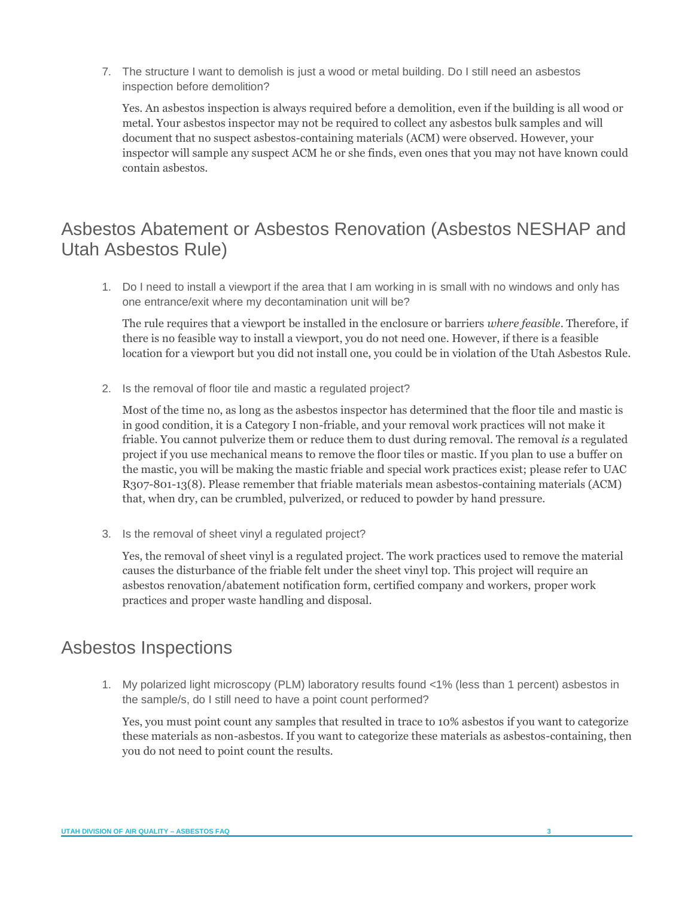7. The structure I want to demolish is just a wood or metal building. Do I still need an asbestos inspection before demolition?

Yes. An asbestos inspection is always required before a demolition, even if the building is all wood or metal. Your asbestos inspector may not be required to collect any asbestos bulk samples and will document that no suspect asbestos-containing materials (ACM) were observed. However, your inspector will sample any suspect ACM he or she finds, even ones that you may not have known could contain asbestos.

# <span id="page-2-0"></span>Asbestos Abatement or Asbestos Renovation (Asbestos NESHAP and Utah Asbestos Rule)

1. Do I need to install a viewport if the area that I am working in is small with no windows and only has one entrance/exit where my decontamination unit will be?

The rule requires that a viewport be installed in the enclosure or barriers *where feasible*. Therefore, if there is no feasible way to install a viewport, you do not need one. However, if there is a feasible location for a viewport but you did not install one, you could be in violation of the Utah Asbestos Rule.

2. Is the removal of floor tile and mastic a regulated project?

Most of the time no, as long as the asbestos inspector has determined that the floor tile and mastic is in good condition, it is a Category I non-friable, and your removal work practices will not make it friable. You cannot pulverize them or reduce them to dust during removal. The removal *is* a regulated project if you use mechanical means to remove the floor tiles or mastic. If you plan to use a buffer on the mastic, you will be making the mastic friable and special work practices exist; please refer to UAC R307-801-13(8). Please remember that friable materials mean asbestos-containing materials (ACM) that, when dry, can be crumbled, pulverized, or reduced to powder by hand pressure.

3. Is the removal of sheet vinyl a regulated project?

<span id="page-2-1"></span>Yes, the removal of sheet vinyl is a regulated project. The work practices used to remove the material causes the disturbance of the friable felt under the sheet vinyl top. This project will require an asbestos renovation/abatement notification form, certified company and workers, proper work practices and proper waste handling and disposal.

#### Asbestos Inspections

1. My polarized light microscopy (PLM) laboratory results found <1% (less than 1 percent) asbestos in the sample/s, do I still need to have a point count performed?

Yes, you must point count any samples that resulted in trace to 10% asbestos if you want to categorize these materials as non-asbestos. If you want to categorize these materials as asbestos-containing, then you do not need to point count the results.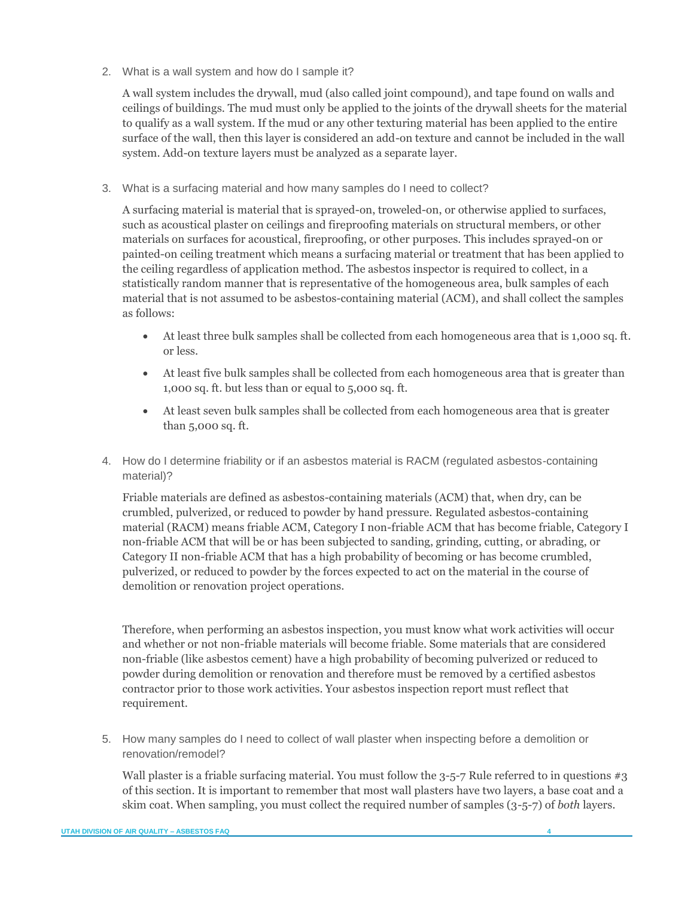2. What is a wall system and how do I sample it?

A wall system includes the drywall, mud (also called joint compound), and tape found on walls and ceilings of buildings. The mud must only be applied to the joints of the drywall sheets for the material to qualify as a wall system. If the mud or any other texturing material has been applied to the entire surface of the wall, then this layer is considered an add-on texture and cannot be included in the wall system. Add-on texture layers must be analyzed as a separate layer.

3. What is a surfacing material and how many samples do I need to collect?

A surfacing material is material that is sprayed-on, troweled-on, or otherwise applied to surfaces, such as acoustical plaster on ceilings and fireproofing materials on structural members, or other materials on surfaces for acoustical, fireproofing, or other purposes. This includes sprayed-on or painted-on ceiling treatment which means a surfacing material or treatment that has been applied to the ceiling regardless of application method. The asbestos inspector is required to collect, in a statistically random manner that is representative of the homogeneous area, bulk samples of each material that is not assumed to be asbestos-containing material (ACM), and shall collect the samples as follows:

- At least three bulk samples shall be collected from each homogeneous area that is 1,000 sq. ft. or less.
- At least five bulk samples shall be collected from each homogeneous area that is greater than 1,000 sq. ft. but less than or equal to 5,000 sq. ft.
- At least seven bulk samples shall be collected from each homogeneous area that is greater than 5,000 sq. ft.
- 4. How do I determine friability or if an asbestos material is RACM (regulated asbestos-containing material)?

Friable materials are defined as asbestos-containing materials (ACM) that, when dry, can be crumbled, pulverized, or reduced to powder by hand pressure. Regulated asbestos-containing material (RACM) means friable ACM, Category I non-friable ACM that has become friable, Category I non-friable ACM that will be or has been subjected to sanding, grinding, cutting, or abrading, or Category II non-friable ACM that has a high probability of becoming or has become crumbled, pulverized, or reduced to powder by the forces expected to act on the material in the course of demolition or renovation project operations.

Therefore, when performing an asbestos inspection, you must know what work activities will occur and whether or not non-friable materials will become friable. Some materials that are considered non-friable (like asbestos cement) have a high probability of becoming pulverized or reduced to powder during demolition or renovation and therefore must be removed by a certified asbestos contractor prior to those work activities. Your asbestos inspection report must reflect that requirement.

5. How many samples do I need to collect of wall plaster when inspecting before a demolition or renovation/remodel?

Wall plaster is a friable surfacing material. You must follow the  $3$ -5-7 Rule referred to in questions  $\#3$ of this section. It is important to remember that most wall plasters have two layers, a base coat and a skim coat. When sampling, you must collect the required number of samples (3-5-7) of *both* layers.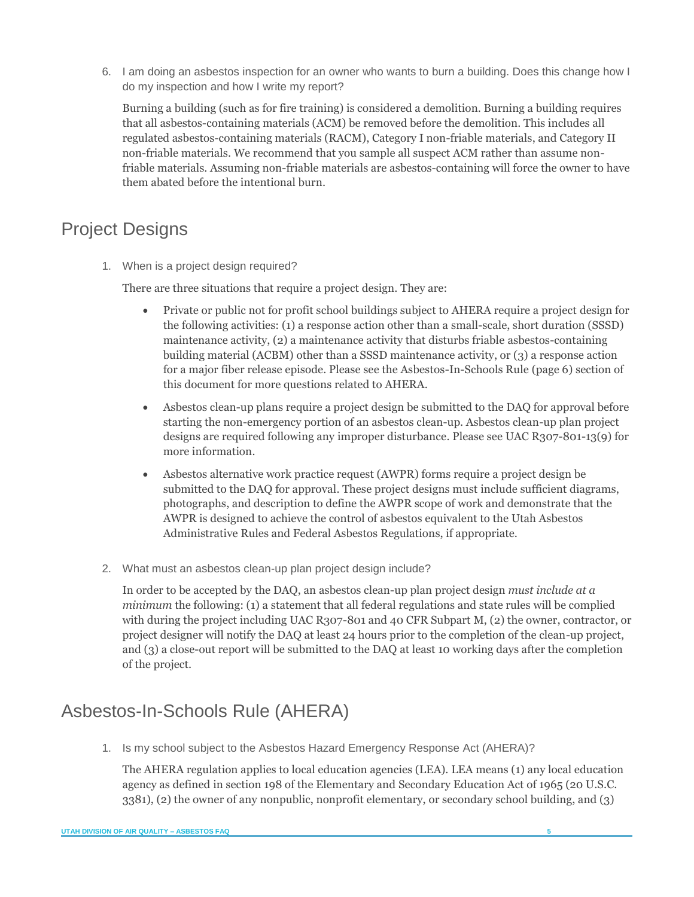6. I am doing an asbestos inspection for an owner who wants to burn a building. Does this change how I do my inspection and how I write my report?

Burning a building (such as for fire training) is considered a demolition. Burning a building requires that all asbestos-containing materials (ACM) be removed before the demolition. This includes all regulated asbestos-containing materials (RACM), Category I non-friable materials, and Category II non-friable materials. We recommend that you sample all suspect ACM rather than assume nonfriable materials. Assuming non-friable materials are asbestos-containing will force the owner to have them abated before the intentional burn.

# <span id="page-4-0"></span>Project Designs

1. When is a project design required?

There are three situations that require a project design. They are:

- Private or public not for profit school buildings subject to AHERA require a project design for the following activities: (1) a response action other than a small-scale, short duration (SSSD) maintenance activity, (2) a maintenance activity that disturbs friable asbestos-containing building material (ACBM) other than a SSSD maintenance activity, or (3) a response action for a major fiber release episode. Please see the Asbestos-In-Schools Rule (page 6) section of this document for more questions related to AHERA.
- Asbestos clean-up plans require a project design be submitted to the DAQ for approval before starting the non-emergency portion of an asbestos clean-up. Asbestos clean-up plan project designs are required following any improper disturbance. Please see UAC R307-801-13(9) for more information.
- Asbestos alternative work practice request (AWPR) forms require a project design be submitted to the DAQ for approval. These project designs must include sufficient diagrams, photographs, and description to define the AWPR scope of work and demonstrate that the AWPR is designed to achieve the control of asbestos equivalent to the Utah Asbestos Administrative Rules and Federal Asbestos Regulations, if appropriate.
- 2. What must an asbestos clean-up plan project design include?

In order to be accepted by the DAQ, an asbestos clean-up plan project design *must include at a minimum* the following: (1) a statement that all federal regulations and state rules will be complied with during the project including UAC R307-801 and 40 CFR Subpart M, (2) the owner, contractor, or project designer will notify the DAQ at least 24 hours prior to the completion of the clean-up project, and (3) a close-out report will be submitted to the DAQ at least 10 working days after the completion of the project.

# <span id="page-4-1"></span>Asbestos-In-Schools Rule (AHERA)

1. Is my school subject to the Asbestos Hazard Emergency Response Act (AHERA)?

The AHERA regulation applies to local education agencies (LEA). LEA means (1) any local education agency as defined in section 198 of the Elementary and Secondary Education Act of 1965 (20 U.S.C. 3381), (2) the owner of any nonpublic, nonprofit elementary, or secondary school building, and (3)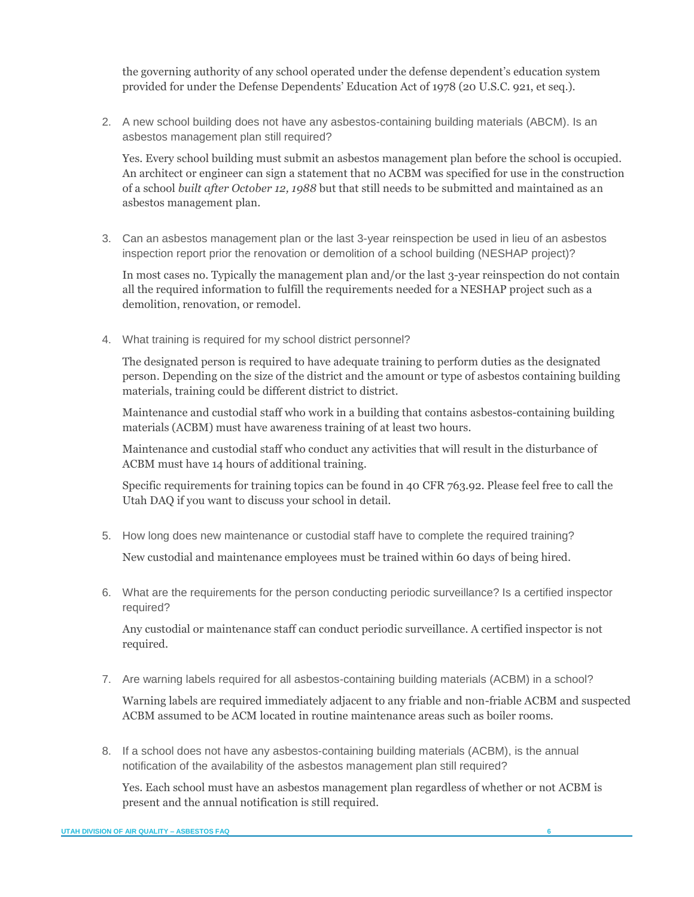the governing authority of any school operated under the defense dependent's education system provided for under the Defense Dependents' Education Act of 1978 (20 U.S.C. 921, et seq.).

2. A new school building does not have any asbestos-containing building materials (ABCM). Is an asbestos management plan still required?

Yes. Every school building must submit an asbestos management plan before the school is occupied. An architect or engineer can sign a statement that no ACBM was specified for use in the construction of a school *built after October 12, 1988* but that still needs to be submitted and maintained as an asbestos management plan.

3. Can an asbestos management plan or the last 3-year reinspection be used in lieu of an asbestos inspection report prior the renovation or demolition of a school building (NESHAP project)?

In most cases no. Typically the management plan and/or the last 3-year reinspection do not contain all the required information to fulfill the requirements needed for a NESHAP project such as a demolition, renovation, or remodel.

4. What training is required for my school district personnel?

The designated person is required to have adequate training to perform duties as the designated person. Depending on the size of the district and the amount or type of asbestos containing building materials, training could be different district to district.

Maintenance and custodial staff who work in a building that contains asbestos-containing building materials (ACBM) must have awareness training of at least two hours.

Maintenance and custodial staff who conduct any activities that will result in the disturbance of ACBM must have 14 hours of additional training.

Specific requirements for training topics can be found in 40 CFR 763.92. Please feel free to call the Utah DAQ if you want to discuss your school in detail.

5. How long does new maintenance or custodial staff have to complete the required training?

New custodial and maintenance employees must be trained within 60 days of being hired.

6. What are the requirements for the person conducting periodic surveillance? Is a certified inspector required?

Any custodial or maintenance staff can conduct periodic surveillance. A certified inspector is not required.

7. Are warning labels required for all asbestos-containing building materials (ACBM) in a school?

Warning labels are required immediately adjacent to any friable and non-friable ACBM and suspected ACBM assumed to be ACM located in routine maintenance areas such as boiler rooms.

8. If a school does not have any asbestos-containing building materials (ACBM), is the annual notification of the availability of the asbestos management plan still required?

Yes. Each school must have an asbestos management plan regardless of whether or not ACBM is present and the annual notification is still required.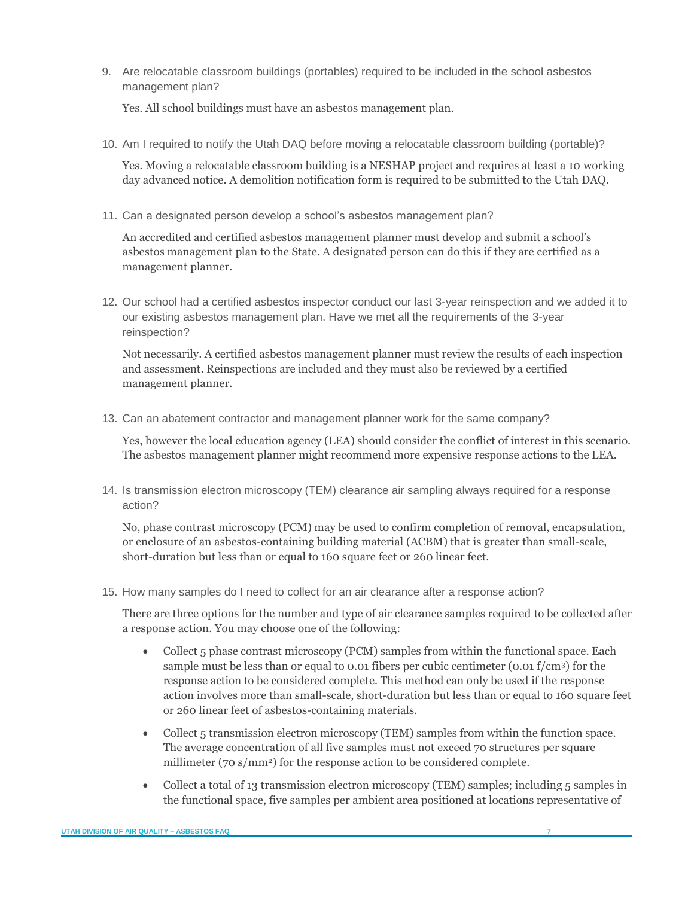9. Are relocatable classroom buildings (portables) required to be included in the school asbestos management plan?

Yes. All school buildings must have an asbestos management plan.

10. Am I required to notify the Utah DAQ before moving a relocatable classroom building (portable)?

Yes. Moving a relocatable classroom building is a NESHAP project and requires at least a 10 working day advanced notice. A demolition notification form is required to be submitted to the Utah DAQ.

11. Can a designated person develop a school's asbestos management plan?

An accredited and certified asbestos management planner must develop and submit a school's asbestos management plan to the State. A designated person can do this if they are certified as a management planner.

12. Our school had a certified asbestos inspector conduct our last 3-year reinspection and we added it to our existing asbestos management plan. Have we met all the requirements of the 3-year reinspection?

Not necessarily. A certified asbestos management planner must review the results of each inspection and assessment. Reinspections are included and they must also be reviewed by a certified management planner.

13. Can an abatement contractor and management planner work for the same company?

Yes, however the local education agency (LEA) should consider the conflict of interest in this scenario. The asbestos management planner might recommend more expensive response actions to the LEA.

14. Is transmission electron microscopy (TEM) clearance air sampling always required for a response action?

No, phase contrast microscopy (PCM) may be used to confirm completion of removal, encapsulation, or enclosure of an asbestos-containing building material (ACBM) that is greater than small-scale, short-duration but less than or equal to 160 square feet or 260 linear feet.

15. How many samples do I need to collect for an air clearance after a response action?

There are three options for the number and type of air clearance samples required to be collected after a response action. You may choose one of the following:

- Collect 5 phase contrast microscopy (PCM) samples from within the functional space. Each sample must be less than or equal to 0.01 fibers per cubic centimeter (0.01 f/cm3) for the response action to be considered complete. This method can only be used if the response action involves more than small-scale, short-duration but less than or equal to 160 square feet or 260 linear feet of asbestos-containing materials.
- Collect 5 transmission electron microscopy (TEM) samples from within the function space. The average concentration of all five samples must not exceed 70 structures per square millimeter (70 s/mm<sup>2</sup>) for the response action to be considered complete.
- Collect a total of 13 transmission electron microscopy (TEM) samples; including 5 samples in the functional space, five samples per ambient area positioned at locations representative of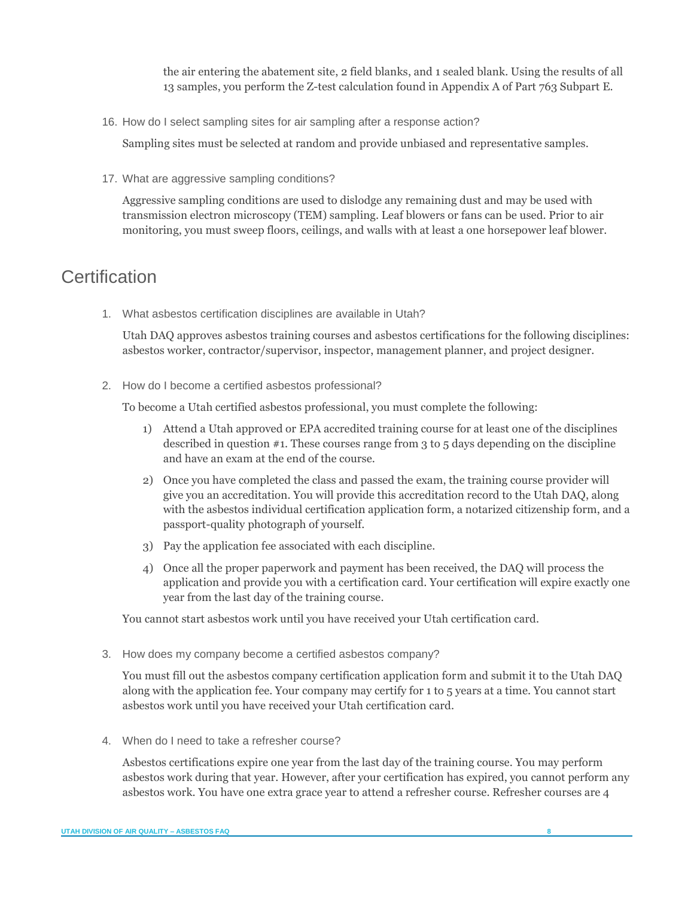the air entering the abatement site, 2 field blanks, and 1 sealed blank. Using the results of all 13 samples, you perform the Z-test calculation found in Appendix A of Part 763 Subpart E.

16. How do I select sampling sites for air sampling after a response action?

Sampling sites must be selected at random and provide unbiased and representative samples.

17. What are aggressive sampling conditions?

Aggressive sampling conditions are used to dislodge any remaining dust and may be used with transmission electron microscopy (TEM) sampling. Leaf blowers or fans can be used. Prior to air monitoring, you must sweep floors, ceilings, and walls with at least a one horsepower leaf blower.

## <span id="page-7-0"></span>**Certification**

1. What asbestos certification disciplines are available in Utah?

Utah DAQ approves asbestos training courses and asbestos certifications for the following disciplines: asbestos worker, contractor/supervisor, inspector, management planner, and project designer.

2. How do I become a certified asbestos professional?

To become a Utah certified asbestos professional, you must complete the following:

- 1) Attend a Utah approved or EPA accredited training course for at least one of the disciplines described in question #1. These courses range from 3 to 5 days depending on the discipline and have an exam at the end of the course.
- 2) Once you have completed the class and passed the exam, the training course provider will give you an accreditation. You will provide this accreditation record to the Utah DAQ, along with the asbestos individual certification application form, a notarized citizenship form, and a passport-quality photograph of yourself.
- 3) Pay the application fee associated with each discipline.
- 4) Once all the proper paperwork and payment has been received, the DAQ will process the application and provide you with a certification card. Your certification will expire exactly one year from the last day of the training course.

You cannot start asbestos work until you have received your Utah certification card.

3. How does my company become a certified asbestos company?

You must fill out the asbestos company certification application form and submit it to the Utah DAQ along with the application fee. Your company may certify for 1 to 5 years at a time. You cannot start asbestos work until you have received your Utah certification card.

4. When do I need to take a refresher course?

Asbestos certifications expire one year from the last day of the training course. You may perform asbestos work during that year. However, after your certification has expired, you cannot perform any asbestos work. You have one extra grace year to attend a refresher course. Refresher courses are 4